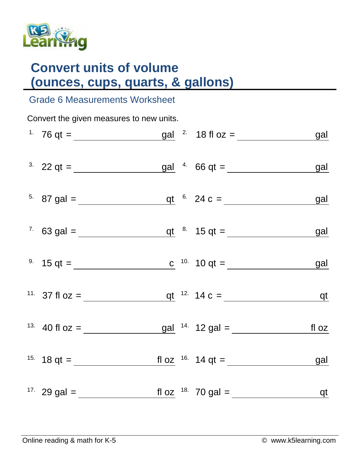

## **Convert units of volume (ounces, cups, quarts, & gallons)**

## Grade 6 Measurements Worksheet

| Convert the given measures to new units. |                                                                                                                  |  |  |  |  |  |  |  |  |
|------------------------------------------|------------------------------------------------------------------------------------------------------------------|--|--|--|--|--|--|--|--|
|                                          |                                                                                                                  |  |  |  |  |  |  |  |  |
|                                          | <sup>3.</sup> 22 qt = $\frac{gal}{\sqrt{1.5}}$ 66 qt = $\frac{gal}{\sqrt{1.5}}$ 66 qt = $\frac{gal}{\sqrt{1.5}}$ |  |  |  |  |  |  |  |  |
|                                          | <sup>5.</sup> 87 gal = $q t$ <sup>6.</sup> 24 c = $q d$                                                          |  |  |  |  |  |  |  |  |
|                                          | <sup>7</sup> 63 gal = $q t$ <sup>8</sup> 15 qt = $q d$                                                           |  |  |  |  |  |  |  |  |
|                                          | <sup>9.</sup> $15 \text{ qt} =$ <u>c</u> <sup>10.</sup> $10 \text{ qt} =$ gal                                    |  |  |  |  |  |  |  |  |
|                                          | <sup>11.</sup> 37 fl oz = $q t$ <sup>12.</sup> 14 c = $q t$                                                      |  |  |  |  |  |  |  |  |
|                                          | <sup>13.</sup> 40 fl oz = $\frac{gal}{14}$ 12 gal = $\frac{fl}{102}$                                             |  |  |  |  |  |  |  |  |
|                                          | <sup>15.</sup> 18 qt = $\frac{f}{\sqrt{15}}$ fl oz <sup>16.</sup> 14 qt = <u>qal</u>                             |  |  |  |  |  |  |  |  |
|                                          | <sup>17</sup> 29 gal = $\frac{f1 \text{ oz}}{2}$ <sup>18</sup> 70 gal = $\frac{f1 \text{ oz}}{2}$                |  |  |  |  |  |  |  |  |